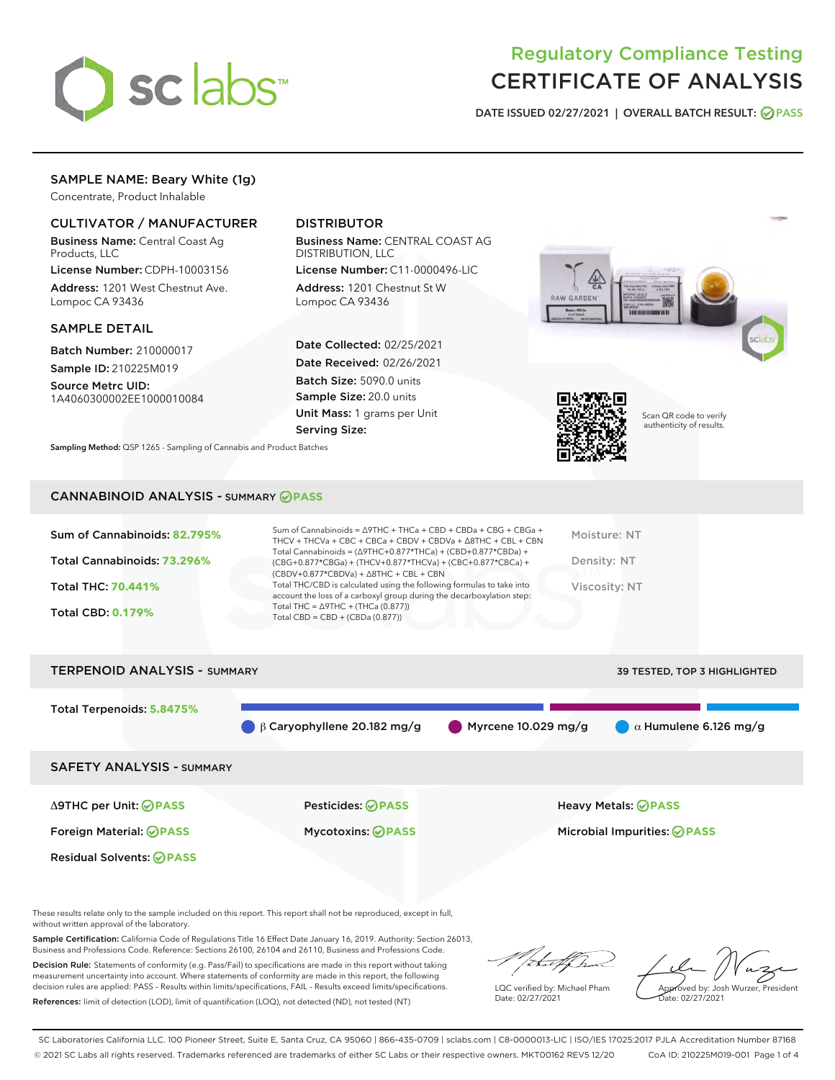

## Regulatory Compliance Testing CERTIFICATE OF ANALYSIS

DATE ISSUED 02/27/2021 | OVERALL BATCH RESULT: @ PASS

## SAMPLE NAME: Beary White (1g)

Concentrate, Product Inhalable

## CULTIVATOR / MANUFACTURER

Business Name: Central Coast Ag Products, LLC

License Number: CDPH-10003156 Address: 1201 West Chestnut Ave. Lompoc CA 93436

#### SAMPLE DETAIL

Batch Number: 210000017 Sample ID: 210225M019

Source Metrc UID: 1A4060300002EE1000010084

## DISTRIBUTOR

Business Name: CENTRAL COAST AG DISTRIBUTION, LLC

License Number: C11-0000496-LIC Address: 1201 Chestnut St W Lompoc CA 93436

Date Collected: 02/25/2021 Date Received: 02/26/2021 Batch Size: 5090.0 units Sample Size: 20.0 units Unit Mass: 1 grams per Unit Serving Size:





Scan QR code to verify authenticity of results.

CANNABINOID ANALYSIS - SUMMARY **PASS**

Sampling Method: QSP 1265 - Sampling of Cannabis and Product Batches

| Sum of Cannabinoids: 82.795% | Sum of Cannabinoids = ∆9THC + THCa + CBD + CBDa + CBG + CBGa +<br>THCV + THCVa + CBC + CBCa + CBDV + CBDVa + $\Delta$ 8THC + CBL + CBN                                               | Moisture: NT  |
|------------------------------|--------------------------------------------------------------------------------------------------------------------------------------------------------------------------------------|---------------|
| Total Cannabinoids: 73.296%  | Total Cannabinoids = $(\Delta$ 9THC+0.877*THCa) + (CBD+0.877*CBDa) +<br>(CBG+0.877*CBGa) + (THCV+0.877*THCVa) + (CBC+0.877*CBCa) +<br>$(CBDV+0.877*CBDVa) + \Delta 8THC + CBL + CBN$ | Density: NT   |
| <b>Total THC: 70.441%</b>    | Total THC/CBD is calculated using the following formulas to take into<br>account the loss of a carboxyl group during the decarboxylation step:                                       | Viscosity: NT |
| <b>Total CBD: 0.179%</b>     | Total THC = $\triangle$ 9THC + (THCa (0.877))<br>Total CBD = CBD + (CBDa $(0.877)$ )                                                                                                 |               |
|                              |                                                                                                                                                                                      |               |

# TERPENOID ANALYSIS - SUMMARY 39 TESTED, TOP 3 HIGHLIGHTED Total Terpenoids: **5.8475%** β Caryophyllene 20.182 mg/g Myrcene 10.029 mg/g  $\alpha$  Humulene 6.126 mg/g SAFETY ANALYSIS - SUMMARY Δ9THC per Unit: **PASS** Pesticides: **PASS** Heavy Metals: **PASS** Foreign Material: **PASS** Mycotoxins: **PASS** Microbial Impurities: **PASS** Residual Solvents: **PASS**

These results relate only to the sample included on this report. This report shall not be reproduced, except in full, without written approval of the laboratory.

Sample Certification: California Code of Regulations Title 16 Effect Date January 16, 2019. Authority: Section 26013, Business and Professions Code. Reference: Sections 26100, 26104 and 26110, Business and Professions Code.

Decision Rule: Statements of conformity (e.g. Pass/Fail) to specifications are made in this report without taking measurement uncertainty into account. Where statements of conformity are made in this report, the following decision rules are applied: PASS – Results within limits/specifications, FAIL – Results exceed limits/specifications. References: limit of detection (LOD), limit of quantification (LOQ), not detected (ND), not tested (NT)

:t.aff h

LQC verified by: Michael Pham Date: 02/27/2021

Approved by: Josh Wurzer, President ate: 02/27/2021

SC Laboratories California LLC. 100 Pioneer Street, Suite E, Santa Cruz, CA 95060 | 866-435-0709 | sclabs.com | C8-0000013-LIC | ISO/IES 17025:2017 PJLA Accreditation Number 87168 © 2021 SC Labs all rights reserved. Trademarks referenced are trademarks of either SC Labs or their respective owners. MKT00162 REV5 12/20 CoA ID: 210225M019-001 Page 1 of 4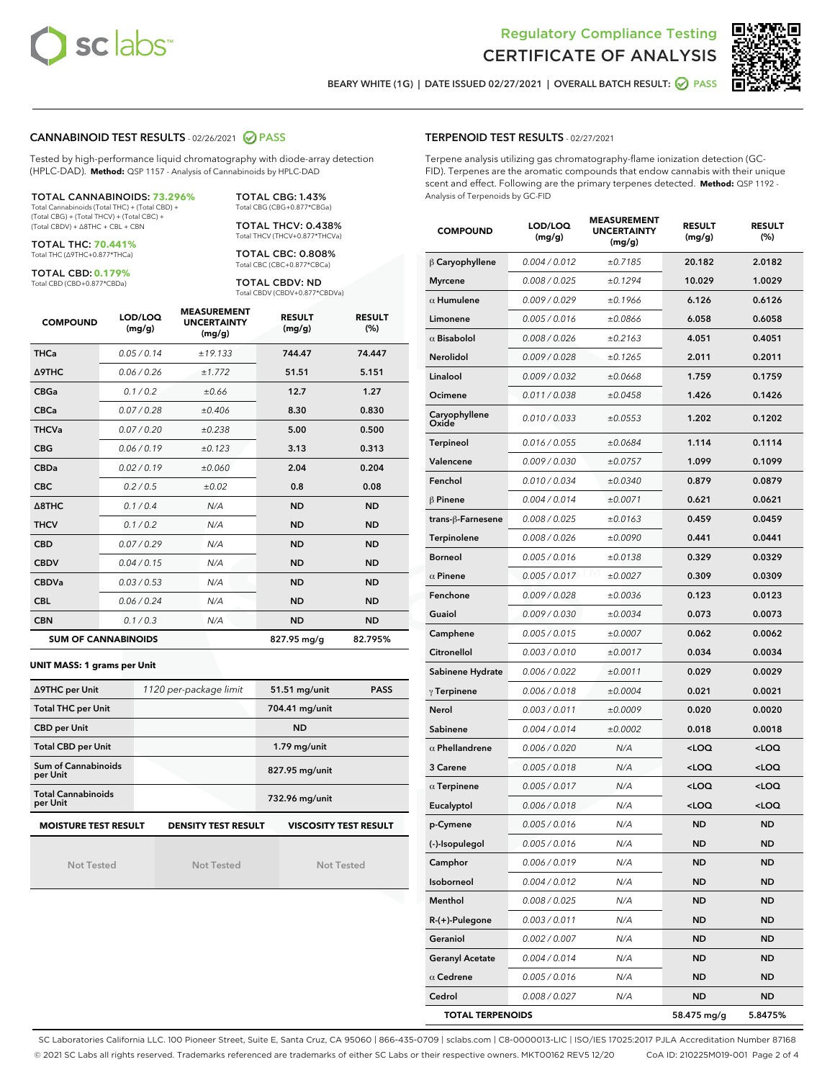



BEARY WHITE (1G) | DATE ISSUED 02/27/2021 | OVERALL BATCH RESULT: @ PASS

## CANNABINOID TEST RESULTS - 02/26/2021 2 PASS

Tested by high-performance liquid chromatography with diode-array detection (HPLC-DAD). **Method:** QSP 1157 - Analysis of Cannabinoids by HPLC-DAD

TOTAL CANNABINOIDS: **73.296%** Total Cannabinoids (Total THC) + (Total CBD) + (Total CBG) + (Total THCV) + (Total CBC) +

(Total CBDV) + ∆8THC + CBL + CBN

TOTAL THC: **70.441%** Total THC (∆9THC+0.877\*THCa)

TOTAL CBD: **0.179%**

Total CBD (CBD+0.877\*CBDa)

Total CBG (CBG+0.877\*CBGa) TOTAL THCV: 0.438% Total THCV (THCV+0.877\*THCVa)

TOTAL CBG: 1.43%

TOTAL CBC: 0.808% Total CBC (CBC+0.877\*CBCa)

TOTAL CBDV: ND Total CBDV (CBDV+0.877\*CBDVa)

| <b>COMPOUND</b>            | LOD/LOQ<br>(mg/g) | <b>MEASUREMENT</b><br><b>UNCERTAINTY</b><br>(mg/g) | <b>RESULT</b><br>(mg/g) | <b>RESULT</b><br>(%) |
|----------------------------|-------------------|----------------------------------------------------|-------------------------|----------------------|
| <b>THCa</b>                | 0.05/0.14         | ±19.133                                            | 744.47                  | 74.447               |
| <b>A9THC</b>               | 0.06 / 0.26       | ±1.772                                             | 51.51                   | 5.151                |
| <b>CBGa</b>                | 0.1 / 0.2         | ±0.66                                              | 12.7                    | 1.27                 |
| <b>CBCa</b>                | 0.07/0.28         | ±0.406                                             | 8.30                    | 0.830                |
| <b>THCVa</b>               | 0.07/0.20         | ±0.238                                             | 5.00                    | 0.500                |
| <b>CBG</b>                 | 0.06/0.19         | ±0.123                                             | 3.13                    | 0.313                |
| <b>CBDa</b>                | 0.02/0.19         | ±0.060                                             | 2.04                    | 0.204                |
| <b>CBC</b>                 | 0.2/0.5           | ±0.02                                              | 0.8                     | 0.08                 |
| $\triangle$ 8THC           | 0.1 / 0.4         | N/A                                                | <b>ND</b>               | <b>ND</b>            |
| <b>THCV</b>                | 0.1/0.2           | N/A                                                | <b>ND</b>               | <b>ND</b>            |
| <b>CBD</b>                 | 0.07/0.29         | N/A                                                | <b>ND</b>               | <b>ND</b>            |
| <b>CBDV</b>                | 0.04 / 0.15       | N/A                                                | <b>ND</b>               | <b>ND</b>            |
| <b>CBDVa</b>               | 0.03/0.53         | N/A                                                | <b>ND</b>               | <b>ND</b>            |
| <b>CBL</b>                 | 0.06 / 0.24       | N/A                                                | <b>ND</b>               | <b>ND</b>            |
| <b>CBN</b>                 | 0.1/0.3           | N/A                                                | <b>ND</b>               | <b>ND</b>            |
| <b>SUM OF CANNABINOIDS</b> |                   |                                                    | 827.95 mg/g             | 82.795%              |

#### **UNIT MASS: 1 grams per Unit**

| ∆9THC per Unit                         | 1120 per-package limit | <b>PASS</b><br>51.51 mg/unit |
|----------------------------------------|------------------------|------------------------------|
| <b>Total THC per Unit</b>              |                        | 704.41 mg/unit               |
| <b>CBD per Unit</b>                    |                        | <b>ND</b>                    |
| <b>Total CBD per Unit</b>              |                        | $1.79$ mg/unit               |
| <b>Sum of Cannabinoids</b><br>per Unit |                        | 827.95 mg/unit               |
| <b>Total Cannabinoids</b><br>per Unit  |                        | 732.96 mg/unit               |
| <b>MOISTURE TEST RESULT</b>            | DENSITY TEST RESULT    | <b>VISCOSITY TEST RESULT</b> |

**MOISTURE TEST RESULT**

Not Tested

Not Tested

Not Tested

## TERPENOID TEST RESULTS - 02/27/2021

Terpene analysis utilizing gas chromatography-flame ionization detection (GC-FID). Terpenes are the aromatic compounds that endow cannabis with their unique scent and effect. Following are the primary terpenes detected. **Method:** QSP 1192 - Analysis of Terpenoids by GC-FID

| <b>COMPOUND</b>         | LOD/LOQ<br>(mg/g) | <b>MEASUREMENT</b><br><b>UNCERTAINTY</b><br>(mg/g) | <b>RESULT</b><br>(mg/g)                         | <b>RESULT</b><br>(%) |
|-------------------------|-------------------|----------------------------------------------------|-------------------------------------------------|----------------------|
| $\beta$ Caryophyllene   | 0.004 / 0.012     | ±0.7185                                            | 20.182                                          | 2.0182               |
| <b>Myrcene</b>          | 0.008 / 0.025     | ±0.1294                                            | 10.029                                          | 1.0029               |
| $\alpha$ Humulene       | 0.009/0.029       | ±0.1966                                            | 6.126                                           | 0.6126               |
| Limonene                | 0.005 / 0.016     | ±0.0866                                            | 6.058                                           | 0.6058               |
| $\alpha$ Bisabolol      | 0.008 / 0.026     | ±0.2163                                            | 4.051                                           | 0.4051               |
| <b>Nerolidol</b>        | 0.009 / 0.028     | ±0.1265                                            | 2.011                                           | 0.2011               |
| Linalool                | 0.009 / 0.032     | ±0.0668                                            | 1.759                                           | 0.1759               |
| Ocimene                 | 0.011 / 0.038     | ±0.0458                                            | 1.426                                           | 0.1426               |
| Caryophyllene<br>Oxide  | 0.010 / 0.033     | ±0.0553                                            | 1.202                                           | 0.1202               |
| Terpineol               | 0.016 / 0.055     | ±0.0684                                            | 1.114                                           | 0.1114               |
| Valencene               | 0.009 / 0.030     | ±0.0757                                            | 1.099                                           | 0.1099               |
| Fenchol                 | 0.010 / 0.034     | ±0.0340                                            | 0.879                                           | 0.0879               |
| $\beta$ Pinene          | 0.004 / 0.014     | ±0.0071                                            | 0.621                                           | 0.0621               |
| trans-β-Farnesene       | 0.008 / 0.025     | ±0.0163                                            | 0.459                                           | 0.0459               |
| Terpinolene             | 0.008 / 0.026     | ±0.0090                                            | 0.441                                           | 0.0441               |
| <b>Borneol</b>          | 0.005 / 0.016     | ±0.0138                                            | 0.329                                           | 0.0329               |
| $\alpha$ Pinene         | 0.005 / 0.017     | ±0.0027                                            | 0.309                                           | 0.0309               |
| Fenchone                | 0.009 / 0.028     | ±0.0036                                            | 0.123                                           | 0.0123               |
| Guaiol                  | 0.009 / 0.030     | ±0.0034                                            | 0.073                                           | 0.0073               |
| Camphene                | 0.005 / 0.015     | ±0.0007                                            | 0.062                                           | 0.0062               |
| Citronellol             | 0.003 / 0.010     | ±0.0017                                            | 0.034                                           | 0.0034               |
| Sabinene Hydrate        | 0.006 / 0.022     | ±0.0011                                            | 0.029                                           | 0.0029               |
| $\gamma$ Terpinene      | 0.006 / 0.018     | ±0.0004                                            | 0.021                                           | 0.0021               |
| Nerol                   | 0.003 / 0.011     | ±0.0009                                            | 0.020                                           | 0.0020               |
| Sabinene                | 0.004 / 0.014     | ±0.0002                                            | 0.018                                           | 0.0018               |
| $\alpha$ Phellandrene   | 0.006 / 0.020     | N/A                                                | <loq< th=""><th><loq< th=""></loq<></th></loq<> | <loq< th=""></loq<>  |
| 3 Carene                | 0.005 / 0.018     | N/A                                                | <loq< th=""><th><loq< th=""></loq<></th></loq<> | <loq< th=""></loq<>  |
| $\alpha$ Terpinene      | 0.005 / 0.017     | N/A                                                | <loq< th=""><th><loq< th=""></loq<></th></loq<> | <loq< th=""></loq<>  |
| Eucalyptol              | 0.006 / 0.018     | N/A                                                | <loq< th=""><th><loq< th=""></loq<></th></loq<> | <loq< th=""></loq<>  |
| p-Cymene                | 0.005 / 0.016     | N/A                                                | <b>ND</b>                                       | <b>ND</b>            |
| (-)-Isopulegol          | 0.005 / 0.016     | N/A                                                | ND                                              | ND                   |
| Camphor                 | 0.006 / 0.019     | N/A                                                | ND                                              | <b>ND</b>            |
| Isoborneol              | 0.004 / 0.012     | N/A                                                | ND                                              | ND                   |
| Menthol                 | 0.008 / 0.025     | N/A                                                | ND                                              | <b>ND</b>            |
| R-(+)-Pulegone          | 0.003 / 0.011     | N/A                                                | ND                                              | <b>ND</b>            |
| Geraniol                | 0.002 / 0.007     | N/A                                                | ND                                              | ND                   |
| <b>Geranyl Acetate</b>  | 0.004 / 0.014     | N/A                                                | ND                                              | ND                   |
| $\alpha$ Cedrene        | 0.005 / 0.016     | N/A                                                | ND                                              | <b>ND</b>            |
| Cedrol                  | 0.008 / 0.027     | N/A                                                | ND                                              | ND                   |
| <b>TOTAL TERPENOIDS</b> |                   |                                                    | 58.475 mg/g                                     | 5.8475%              |

SC Laboratories California LLC. 100 Pioneer Street, Suite E, Santa Cruz, CA 95060 | 866-435-0709 | sclabs.com | C8-0000013-LIC | ISO/IES 17025:2017 PJLA Accreditation Number 87168 © 2021 SC Labs all rights reserved. Trademarks referenced are trademarks of either SC Labs or their respective owners. MKT00162 REV5 12/20 CoA ID: 210225M019-001 Page 2 of 4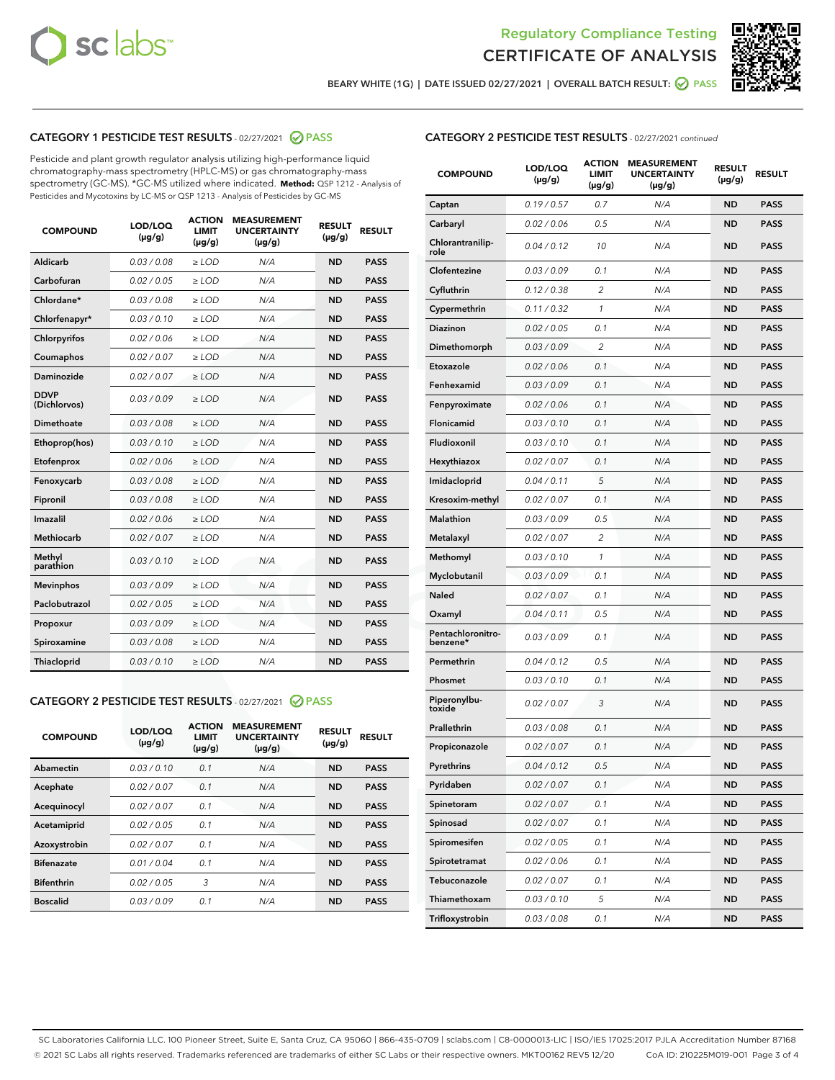



BEARY WHITE (1G) | DATE ISSUED 02/27/2021 | OVERALL BATCH RESULT: @ PASS

## CATEGORY 1 PESTICIDE TEST RESULTS - 02/27/2021 2 PASS

Pesticide and plant growth regulator analysis utilizing high-performance liquid chromatography-mass spectrometry (HPLC-MS) or gas chromatography-mass spectrometry (GC-MS). \*GC-MS utilized where indicated. **Method:** QSP 1212 - Analysis of Pesticides and Mycotoxins by LC-MS or QSP 1213 - Analysis of Pesticides by GC-MS

| <b>COMPOUND</b>             | LOD/LOQ<br>$(\mu g/g)$ | <b>ACTION</b><br>LIMIT<br>$(\mu g/g)$ | <b>MEASUREMENT</b><br><b>UNCERTAINTY</b><br>$(\mu g/g)$ | <b>RESULT</b><br>$(\mu g/g)$ | <b>RESULT</b> |
|-----------------------------|------------------------|---------------------------------------|---------------------------------------------------------|------------------------------|---------------|
| Aldicarb                    | 0.03 / 0.08            | $\ge$ LOD                             | N/A                                                     | <b>ND</b>                    | <b>PASS</b>   |
| Carbofuran                  | 0.02 / 0.05            | $\ge$ LOD                             | N/A                                                     | <b>ND</b>                    | <b>PASS</b>   |
| Chlordane*                  | 0.03 / 0.08            | $\ge$ LOD                             | N/A                                                     | <b>ND</b>                    | <b>PASS</b>   |
| Chlorfenapyr*               | 0.03/0.10              | $\ge$ LOD                             | N/A                                                     | <b>ND</b>                    | <b>PASS</b>   |
| Chlorpyrifos                | 0.02 / 0.06            | $\ge$ LOD                             | N/A                                                     | <b>ND</b>                    | <b>PASS</b>   |
| Coumaphos                   | 0.02 / 0.07            | $\ge$ LOD                             | N/A                                                     | <b>ND</b>                    | <b>PASS</b>   |
| Daminozide                  | 0.02/0.07              | $\ge$ LOD                             | N/A                                                     | <b>ND</b>                    | <b>PASS</b>   |
| <b>DDVP</b><br>(Dichlorvos) | 0.03/0.09              | $\ge$ LOD                             | N/A                                                     | <b>ND</b>                    | <b>PASS</b>   |
| Dimethoate                  | 0.03 / 0.08            | $>$ LOD                               | N/A                                                     | <b>ND</b>                    | <b>PASS</b>   |
| Ethoprop(hos)               | 0.03/0.10              | $\ge$ LOD                             | N/A                                                     | <b>ND</b>                    | <b>PASS</b>   |
| Etofenprox                  | 0.02/0.06              | $>$ LOD                               | N/A                                                     | <b>ND</b>                    | <b>PASS</b>   |
| Fenoxycarb                  | 0.03/0.08              | $>$ LOD                               | N/A                                                     | <b>ND</b>                    | <b>PASS</b>   |
| Fipronil                    | 0.03 / 0.08            | $>$ LOD                               | N/A                                                     | <b>ND</b>                    | <b>PASS</b>   |
| Imazalil                    | 0.02/0.06              | $>$ LOD                               | N/A                                                     | <b>ND</b>                    | <b>PASS</b>   |
| <b>Methiocarb</b>           | 0.02 / 0.07            | $\ge$ LOD                             | N/A                                                     | <b>ND</b>                    | <b>PASS</b>   |
| Methyl<br>parathion         | 0.03/0.10              | $\ge$ LOD                             | N/A                                                     | <b>ND</b>                    | <b>PASS</b>   |
| <b>Mevinphos</b>            | 0.03/0.09              | $\ge$ LOD                             | N/A                                                     | <b>ND</b>                    | <b>PASS</b>   |
| Paclobutrazol               | 0.02 / 0.05            | $\ge$ LOD                             | N/A                                                     | <b>ND</b>                    | <b>PASS</b>   |
| Propoxur                    | 0.03 / 0.09            | $\ge$ LOD                             | N/A                                                     | <b>ND</b>                    | <b>PASS</b>   |
| Spiroxamine                 | 0.03 / 0.08            | $\ge$ LOD                             | N/A                                                     | <b>ND</b>                    | <b>PASS</b>   |
| Thiacloprid                 | 0.03/0.10              | $\ge$ LOD                             | N/A                                                     | <b>ND</b>                    | <b>PASS</b>   |

#### CATEGORY 2 PESTICIDE TEST RESULTS - 02/27/2021 @ PASS

| <b>COMPOUND</b>   | LOD/LOQ<br>$(\mu g/g)$ | <b>ACTION</b><br><b>LIMIT</b><br>$(\mu g/g)$ | <b>MEASUREMENT</b><br><b>UNCERTAINTY</b><br>$(\mu g/g)$ | <b>RESULT</b><br>$(\mu g/g)$ | <b>RESULT</b> |
|-------------------|------------------------|----------------------------------------------|---------------------------------------------------------|------------------------------|---------------|
| Abamectin         | 0.03/0.10              | 0.1                                          | N/A                                                     | <b>ND</b>                    | <b>PASS</b>   |
| Acephate          | 0.02/0.07              | 0.1                                          | N/A                                                     | <b>ND</b>                    | <b>PASS</b>   |
| Acequinocyl       | 0.02/0.07              | 0.1                                          | N/A                                                     | <b>ND</b>                    | <b>PASS</b>   |
| Acetamiprid       | 0.02/0.05              | 0.1                                          | N/A                                                     | <b>ND</b>                    | <b>PASS</b>   |
| Azoxystrobin      | 0.02/0.07              | 0.1                                          | N/A                                                     | <b>ND</b>                    | <b>PASS</b>   |
| <b>Bifenazate</b> | 0.01/0.04              | 0.1                                          | N/A                                                     | <b>ND</b>                    | <b>PASS</b>   |
| <b>Bifenthrin</b> | 0.02/0.05              | 3                                            | N/A                                                     | <b>ND</b>                    | <b>PASS</b>   |
| <b>Boscalid</b>   | 0.03/0.09              | 0.1                                          | N/A                                                     | <b>ND</b>                    | <b>PASS</b>   |

|  | <b>CATEGORY 2 PESTICIDE TEST RESULTS</b> - 02/27/2021 continued |  |  |  |
|--|-----------------------------------------------------------------|--|--|--|
|--|-----------------------------------------------------------------|--|--|--|

| <b>COMPOUND</b>               | LOD/LOQ<br>(µg/g) | <b>ACTION</b><br>LIMIT<br>(µg/g) | <b>MEASUREMENT</b><br><b>UNCERTAINTY</b><br>(µg/g) | <b>RESULT</b><br>(µg/g) | <b>RESULT</b> |
|-------------------------------|-------------------|----------------------------------|----------------------------------------------------|-------------------------|---------------|
| Captan                        | 0.19 / 0.57       | 0.7                              | N/A                                                | <b>ND</b>               | <b>PASS</b>   |
| Carbaryl                      | 0.02 / 0.06       | 0.5                              | N/A                                                | <b>ND</b>               | <b>PASS</b>   |
| Chlorantranilip-<br>role      | 0.04 / 0.12       | 10                               | N/A                                                | ND                      | <b>PASS</b>   |
| Clofentezine                  | 0.03 / 0.09       | 0.1                              | N/A                                                | <b>ND</b>               | <b>PASS</b>   |
| Cyfluthrin                    | 0.12 / 0.38       | $\overline{c}$                   | N/A                                                | <b>ND</b>               | <b>PASS</b>   |
| Cypermethrin                  | 0.11 / 0.32       | 1                                | N/A                                                | <b>ND</b>               | <b>PASS</b>   |
| Diazinon                      | 0.02 / 0.05       | 0.1                              | N/A                                                | <b>ND</b>               | <b>PASS</b>   |
| Dimethomorph                  | 0.03 / 0.09       | $\overline{2}$                   | N/A                                                | <b>ND</b>               | <b>PASS</b>   |
| Etoxazole                     | 0.02 / 0.06       | 0.1                              | N/A                                                | <b>ND</b>               | <b>PASS</b>   |
| Fenhexamid                    | 0.03 / 0.09       | 0.1                              | N/A                                                | <b>ND</b>               | <b>PASS</b>   |
| Fenpyroximate                 | 0.02 / 0.06       | 0.1                              | N/A                                                | <b>ND</b>               | <b>PASS</b>   |
| Flonicamid                    | 0.03/0.10         | 0.1                              | N/A                                                | <b>ND</b>               | <b>PASS</b>   |
| Fludioxonil                   | 0.03 / 0.10       | 0.1                              | N/A                                                | <b>ND</b>               | <b>PASS</b>   |
| Hexythiazox                   | 0.02 / 0.07       | 0.1                              | N/A                                                | <b>ND</b>               | <b>PASS</b>   |
| Imidacloprid                  | 0.04 / 0.11       | 5                                | N/A                                                | <b>ND</b>               | <b>PASS</b>   |
| Kresoxim-methyl               | 0.02 / 0.07       | 0.1                              | N/A                                                | <b>ND</b>               | <b>PASS</b>   |
| Malathion                     | 0.03 / 0.09       | 0.5                              | N/A                                                | <b>ND</b>               | <b>PASS</b>   |
| Metalaxyl                     | 0.02 / 0.07       | 2                                | N/A                                                | <b>ND</b>               | <b>PASS</b>   |
| Methomyl                      | 0.03 / 0.10       | 1                                | N/A                                                | <b>ND</b>               | <b>PASS</b>   |
| Myclobutanil                  | 0.03 / 0.09       | 0.1                              | N/A                                                | <b>ND</b>               | <b>PASS</b>   |
| Naled                         | 0.02 / 0.07       | 0.1                              | N/A                                                | <b>ND</b>               | <b>PASS</b>   |
| Oxamyl                        | 0.04 / 0.11       | 0.5                              | N/A                                                | <b>ND</b>               | <b>PASS</b>   |
| Pentachloronitro-<br>benzene* | 0.03 / 0.09       | 0.1                              | N/A                                                | <b>ND</b>               | <b>PASS</b>   |
| Permethrin                    | 0.04 / 0.12       | 0.5                              | N/A                                                | <b>ND</b>               | <b>PASS</b>   |
| Phosmet                       | 0.03 / 0.10       | 0.1                              | N/A                                                | <b>ND</b>               | <b>PASS</b>   |
| Piperonylbu-<br>toxide        | 0.02 / 0.07       | 3                                | N/A                                                | <b>ND</b>               | <b>PASS</b>   |
| Prallethrin                   | 0.03 / 0.08       | 0.1                              | N/A                                                | <b>ND</b>               | <b>PASS</b>   |
| Propiconazole                 | 0.02 / 0.07       | 0.1                              | N/A                                                | <b>ND</b>               | <b>PASS</b>   |
| Pyrethrins                    | 0.04 / 0.12       | 0.5                              | N/A                                                | <b>ND</b>               | PASS          |
| Pyridaben                     | 0.02 / 0.07       | 0.1                              | N/A                                                | <b>ND</b>               | <b>PASS</b>   |
| Spinetoram                    | 0.02 / 0.07       | 0.1                              | N/A                                                | <b>ND</b>               | <b>PASS</b>   |
| Spinosad                      | 0.02 / 0.07       | 0.1                              | N/A                                                | <b>ND</b>               | <b>PASS</b>   |
| Spiromesifen                  | 0.02 / 0.05       | 0.1                              | N/A                                                | <b>ND</b>               | <b>PASS</b>   |
| Spirotetramat                 | 0.02 / 0.06       | 0.1                              | N/A                                                | <b>ND</b>               | <b>PASS</b>   |
| Tebuconazole                  | 0.02 / 0.07       | 0.1                              | N/A                                                | ND                      | <b>PASS</b>   |
| Thiamethoxam                  | 0.03 / 0.10       | 5                                | N/A                                                | <b>ND</b>               | <b>PASS</b>   |
| Trifloxystrobin               | 0.03 / 0.08       | 0.1                              | N/A                                                | <b>ND</b>               | <b>PASS</b>   |